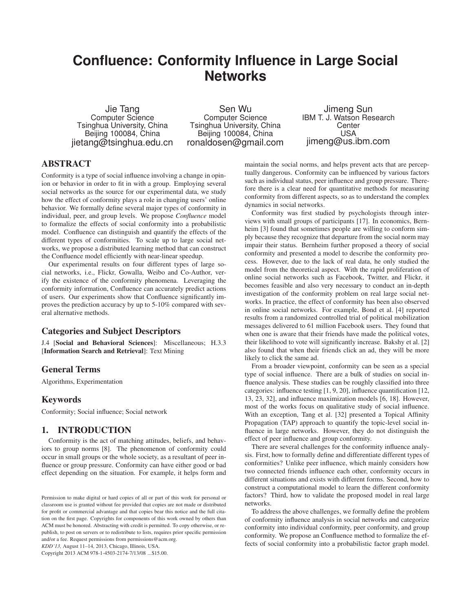# **Confluence: Conformity Influence in Large Social Networks**

Jie Tang Computer Science Tsinghua University, China Beijing 100084, China jietang@tsinghua.edu.cn

Sen Wu Computer Science Tsinghua University, China Beijing 100084, China ronaldosen@gmail.com

Jimeng Sun IBM T. J. Watson Research **Center** USA jimeng@us.ibm.com

# **ABSTRACT**

Conformity is a type of social influence involving a change in opinion or behavior in order to fit in with a group. Employing several social networks as the source for our experimental data, we study how the effect of conformity plays a role in changing users' online behavior. We formally define several major types of conformity in individual, peer, and group levels. We propose *Confluence* model to formalize the effects of social conformity into a probabilistic model. Confluence can distinguish and quantify the effects of the different types of conformities. To scale up to large social networks, we propose a distributed learning method that can construct the Confluence model efficiently with near-linear speedup.

Our experimental results on four different types of large social networks, i.e., Flickr, Gowalla, Weibo and Co-Author, verify the existence of the conformity phenomena. Leveraging the conformity information, Confluence can accurately predict actions of users. Our experiments show that Confluence significantly improves the prediction accuracy by up to 5-10% compared with several alternative methods.

# Categories and Subject Descriptors

J.4 [Social and Behavioral Sciences]: Miscellaneous; H.3.3 [Information Search and Retrieval]: Text Mining

# General Terms

Algorithms, Experimentation

# Keywords

Conformity; Social influence; Social network

# 1. INTRODUCTION

Conformity is the act of matching attitudes, beliefs, and behaviors to group norms [8]. The phenomenon of conformity could occur in small groups or the whole society, as a resultant of peer influence or group pressure. Conformity can have either good or bad effect depending on the situation. For example, it helps form and

*KDD'13,* August 11–14, 2013, Chicago, Illinois, USA.

Copyright 2013 ACM 978-1-4503-2174-7/13/08 ...\$15.00.

maintain the social norms, and helps prevent acts that are perceptually dangerous. Conformity can be influenced by various factors such as individual status, peer influence and group pressure. Therefore there is a clear need for quantitative methods for measuring conformity from different aspects, so as to understand the complex dynamics in social networks.

Conformity was first studied by psychologists through interviews with small groups of participants [17]. In economics, Bernheim [3] found that sometimes people are willing to conform simply because they recognize that departure from the social norm may impair their status. Bernheim further proposed a theory of social conformity and presented a model to describe the conformity process. However, due to the lack of real data, he only studied the model from the theoretical aspect. With the rapid proliferation of online social networks such as Facebook, Twitter, and Flickr, it becomes feasible and also very necessary to conduct an in-depth investigation of the conformity problem on real large social networks. In practice, the effect of conformity has been also observed in online social networks. For example, Bond et al. [4] reported results from a randomized controlled trial of political mobilization messages delivered to 61 million Facebook users. They found that when one is aware that their friends have made the political votes, their likelihood to vote will significantly increase. Bakshy et al. [2] also found that when their friends click an ad, they will be more likely to click the same ad.

From a broader viewpoint, conformity can be seen as a special type of social influence. There are a bulk of studies on social influence analysis. These studies can be roughly classified into three categories: influence testing [1, 9, 20], influence quantification [12, 13, 23, 32], and influence maximization models [6, 18]. However, most of the works focus on qualitative study of social influence. With an exception, Tang et al. [32] presented a Topical Affinity Propagation (TAP) approach to quantify the topic-level social influence in large networks. However, they do not distinguish the effect of peer influence and group conformity.

There are several challenges for the conformity influence analysis. First, how to formally define and differentiate different types of conformities? Unlike peer influence, which mainly considers how two connected friends influence each other, conformity occurs in different situations and exists with different forms. Second, how to construct a computational model to learn the different conformity factors? Third, how to validate the proposed model in real large networks.

To address the above challenges, we formally define the problem of conformity influence analysis in social networks and categorize conformity into individual conformity, peer conformity, and group conformity. We propose an Confluence method to formalize the effects of social conformity into a probabilistic factor graph model.

Permission to make digital or hard copies of all or part of this work for personal or classroom use is granted without fee provided that copies are not made or distributed for profit or commercial advantage and that copies bear this notice and the full citation on the first page. Copyrights for components of this work owned by others than ACM must be honored. Abstracting with credit is permitted. To copy otherwise, or republish, to post on servers or to redistribute to lists, requires prior specific permission and/or a fee. Request permissions from permissions@acm.org.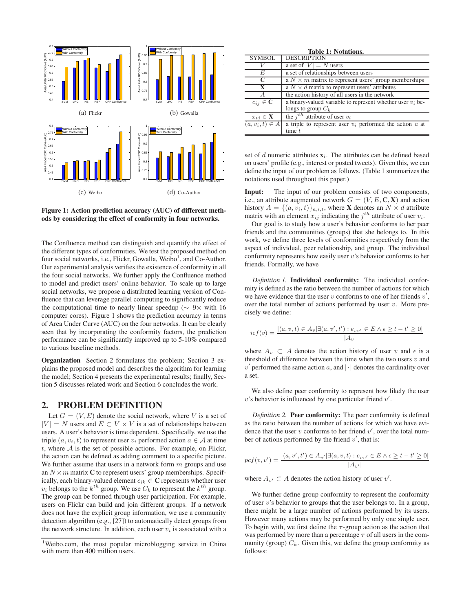

Figure 1: Action prediction accuracy (AUC) of different methods by considering the effect of conformity in four networks.

The Confluence method can distinguish and quantify the effect of the different types of conformities. We test the proposed method on four social networks, i.e., Flickr, Gowalla, Weibo<sup>1</sup>, and Co-Author. Our experimental analysis verifies the existence of conformity in all the four social networks. We further apply the Confluence method to model and predict users' online behavior. To scale up to large social networks, we propose a distributed learning version of Confluence that can leverage parallel computing to significantly reduce the computational time to nearly linear speedup ( $\sim 9 \times$  with 16 computer cores). Figure 1 shows the prediction accuracy in terms of Area Under Curve (AUC) on the four networks. It can be clearly seen that by incorporating the conformity factors, the prediction performance can be significantly improved up to 5-10% compared to various baseline methods.

Organization Section 2 formulates the problem; Section 3 explains the proposed model and describes the algorithm for learning the model; Section 4 presents the experimental results; finally, Section 5 discusses related work and Section 6 concludes the work.

### 2. PROBLEM DEFINITION

Let  $G = (V, E)$  denote the social network, where V is a set of  $|V| = N$  users and  $E \subset V \times V$  is a set of relationships between users. A user's behavior is time dependent. Specifically, we use the triple  $(a, v_i, t)$  to represent user  $v_i$  performed action  $a \in A$  at time t, where  $A$  is the set of possible actions. For example, on Flickr, the action can be defined as adding comment to a specific picture. We further assume that users in a network form  $m$  groups and use an  $N \times m$  matrix C to represent users' group memberships. Specifically, each binary-valued element  $c_{ik} \in \mathbb{C}$  represents whether user  $v_i$  belongs to the  $k^{th}$  group. We use  $C_k$  to represent the  $k^{th}$  group. The group can be formed through user participation. For example, users on Flickr can build and join different groups. If a network does not have the explicit group information, we use a community detection algorithm (e.g., [27]) to automatically detect groups from the network structure. In addition, each user  $v_i$  is associated with a

| <b>Table 1: Notations.</b> |                                                              |  |  |  |
|----------------------------|--------------------------------------------------------------|--|--|--|
| <b>SYMBOL</b>              | <b>DESCRIPTION</b>                                           |  |  |  |
|                            | a set of $ V  = N$ users                                     |  |  |  |
| E                          | a set of relationships between users                         |  |  |  |
| C                          | a $N \times m$ matrix to represent users' group memberships  |  |  |  |
|                            | a $N \times d$ matrix to represent users' attributes         |  |  |  |
| A                          | the action history of all users in the network               |  |  |  |
| $c_{ij} \in \mathbb{C}$    | a binary-valued variable to represent whether user $v_i$ be- |  |  |  |
|                            | longs to group $C_k$                                         |  |  |  |
| $x_{ij} \in \mathbf{X}$    | the $i^{th}$ attribute of user $v_i$                         |  |  |  |
| $(a, v_i, t) \in A$        | a triple to represent user $v_i$ performed the action a at   |  |  |  |
|                            | time $t$                                                     |  |  |  |

set of d numeric attributes  $x_i$ . The attributes can be defined based on users' profile (e.g., interest or posted tweets). Given this, we can define the input of our problem as follows. (Table 1 summarizes the notations used throughout this paper.)

Input: The input of our problem consists of two components, i.e., an attribute augmented network  $G = (V, E, \mathbf{C}, \mathbf{X})$  and action history  $A = \{(a, v_i, t)\}_{a,i,t}$ , where **X** denotes an  $N \times d$  attribute matrix with an element  $x_{ij}$  indicating the  $j^{th}$  attribute of user  $v_i$ .

Our goal is to study how a user's behavior conforms to her peer friends and the communities (groups) that she belongs to. In this work, we define three levels of conformities respectively from the aspect of individual, peer relationship, and group. The individual conformity represents how easily user  $v$ 's behavior conforms to her friends. Formally, we have

*Definition 1.* Individual conformity: The individual conformity is defined as the ratio between the number of actions for which we have evidence that the user  $v$  conforms to one of her friends  $v'$ , over the total number of actions performed by user  $v$ . More precisely we define:

$$
icf(v) = \frac{|(a, v, t) \in A_v | \exists (a, v', t') : e_{vv'} \in E \land \epsilon \ge t - t' \ge 0|}{|A_v|}
$$

where  $A_v \subset A$  denotes the action history of user v and  $\epsilon$  is a threshold of difference between the time when the two users  $v$  and  $v'$  performed the same action a, and  $|\cdot|$  denotes the cardinality over a set.

We also define peer conformity to represent how likely the user  $v$ 's behavior is influenced by one particular friend  $v'$ .

*Definition 2.* Peer conformity: The peer conformity is defined as the ratio between the number of actions for which we have evidence that the user  $v$  conforms to her friend  $v'$ , over the total number of actions performed by the friend  $v'$ , that is:

$$
pcf(v,v')=\frac{|(a,v',t')\in A_{v'}|\exists (a,v,t):e_{vv'}\in E \land \epsilon\geq t-t'\geq 0|}{|A_{v'}|}
$$

where  $A_{v'} \subset A$  denotes the action history of user  $v'$ .

We further define group conformity to represent the conformity of user  $v$ 's behavior to groups that the user belongs to. In a group, there might be a large number of actions performed by its users. However many actions may be performed by only one single user. To begin with, we first define the  $\tau$ -group action as the action that was performed by more than a percentage  $\tau$  of all users in the community (group)  $C_k$ . Given this, we define the group conformity as follows:

<sup>&</sup>lt;sup>1</sup>Weibo.com, the most popular microblogging service in China with more than 400 million users.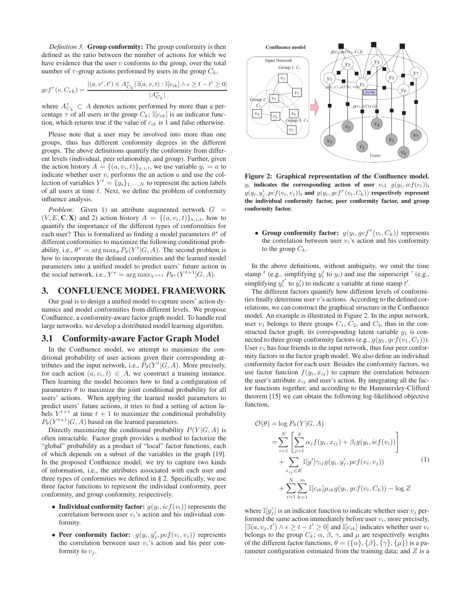*Definition 3.* Group conformity: The group conformity is then defined as the ratio between the number of actions for which we have evidence that the user  $v$  conforms to the group, over the total number of  $\tau$ -group actions performed by users in the group  $C_k$ ,

$$
gcf^{\tau}(v, C_{vk}) = \frac{|(a, v', t') \in A_{C_k}^{\tau}| \exists (a, v, t) : \mathbb{I}[c_{ik}] \wedge \epsilon \ge t - t' \ge 0|}{|A_{C_k}^{\tau}|}
$$

where  $A_{C_k}^{\tau} \subset A$  denotes actions performed by more than a percentage  $\tau$  of all users in the group  $C_k$ ;  $\mathbb{I}[c_{ik}]$  is an indicator function, which returns true if the value of  $c_{ik}$  is 1 and false otherwise.

Please note that a user may be involved into more than one groups, thus has different conformity degrees in the different groups. The above definitions quantify the conformity from different levels (individual, peer relationship, and group). Further, given the action history  $A = \{(a, v_i, t)\}_{a,i,t}$ , we use variable  $y_i = a$  to indicate whether user  $v_i$  performs the an action  $a$  and use the collection of variables  $Y^t = \{y_i\}_{1,\dots,N}$  to represent the action labels of all users at time  $t$ . Next, we define the problem of conformity influence analysis.

*Problem:* Given 1) an attribute augmented network  $G =$  $(V, E, \mathbf{C}, \mathbf{X})$  and 2) action history  $A = \{(a, v_i, t)\}_{a,i,t}$ , how to quantify the importance of the different types of conformities for each user? This is formalized as finding a model parameters  $\theta^*$  of different conformities to maximize the following conditional probability, i.e.,  $\theta^* = \arg \max_{\theta} P_{\theta}(Y^t | G, A)$ . The second problem is how to incorporate the defined conformities and the learned model parameters into a unified model to predict users' future action in the social network, i.e.,  $Y^* = \arg \max_{Y^{t+1}} P_{\theta^*}(Y^{t+1}|G, A)$ .

# 3. CONFLUENCE MODEL FRAMEWORK

Our goal is to design a unified model to capture users' action dynamics and model conformities from different levels. We propose Confluence, a conformity-aware factor graph model. To handle real large networks, we develop a distributed model learning algorithm.

#### 3.1 Conformity-aware Factor Graph Model

In the Confluence model, we attempt to maximize the conditional probability of user actions given their corresponding attributes and the input network, i.e.,  $P_{\theta}(Y^t | G, A)$ . More precisely, for each action  $(a, v_i, t) \in A$ , we construct a training instance. Then learning the model becomes how to find a configuration of parameters  $\theta$  to maximize the joint conditional probability for all users' actions. When applying the learned model parameters to predict users' future actions, it tries to find a setting of action labels  $Y^{t+1}$  at time  $t+1$  to maximize the conditional probability  $P_{\theta}(Y^{t+1}|G, A)$  based on the learned parameters.

Directly maximizing the conditional probability  $P(Y|G, A)$  is often intractable. Factor graph provides a method to factorize the "global" probability as a product of "local" factor functions, each of which depends on a subset of the variables in the graph [19]. In the proposed Confluence model, we try to capture two kinds of information, i.e., the attributes associated with each user and three types of conformities we defined in § 2. Specifically, we use three factor functions to represent the individual conformity, peer conformity, and group conformity, respectively.

- Individual conformity factor:  $g(y_i, icf(v_i))$  represents the correlation between user  $v_i$ 's action and his individual conformity.
- Peer conformity factor:  $g(y_i, y'_j, pcf(v_i, v_j))$  represents the correlation between user  $v_i$ 's action and his peer conformity to  $v_i$ .



Figure 2: Graphical representation of the Confluence model.  $y_i$  indicates the corresponding action of user  $v_i$ ;  $g(y_i, icf(v_i))$ ,  $g(y_i, y'_j, pcf(v_i, v_j))$ , and  $g(y_i, gcf^{\tau}(v_i, C_k))$  respectively represent the individual conformity factor, peer conformity factor, and group conformity factor.

• Group conformity factor:  $g(y_i, gcf^{\tau}(v_i, C_k))$  represents the correlation between user  $v_i$ 's action and his conformity to the group  $C_k$ .

In the above definitions, without ambiguity, we omit the time stamp <sup>t</sup> (e.g., simplifying  $y_i^t$  to  $y_i$ ) and use the superscript  $'$  (e.g., simplifying  $y_i^{t'}$  to  $y_i'$ ) to indicate a variable at time stamp  $t'$ .

The different factors quantify how different levels of conformities finally determine user  $v$ 's actions. According to the defined correlations, we can construct the graphical structure in the Confluence model. An example is illustrated in Figure 2. In the input network, user  $v_1$  belongs to three groups  $C_1$ ,  $C_2$ , and  $C_3$ , thus in the constructed factor graph, its corresponding latent variable  $y_1$  is connected to three group conformity factors (e.g.,  $g(y_1, gcf(v_1, C_1))$ ). User  $v_1$  has four friends in the input network, thus four peer conformity factors in the factor graph model. We also define an individual conformity factor for each user. Besides the conformity factors, we use factor function  $f(y_i, x_{ij})$  to capture the correlation between the user's attribute  $x_{ij}$  and user's action. By integrating all the factor functions together, and according to the Hammersley-Clifford theorem [15] we can obtain the following log-likelihood objective function,

$$
\mathcal{O}(\theta) = \log P_{\theta}(Y|G, A)
$$
  
= 
$$
\sum_{i=1}^{N} \left[ \sum_{j=1}^{d} \alpha_{j} f(y_{i}, x_{ij}) + \beta_{i} g(y_{i}, icf(v_{i})) \right]
$$
  
+ 
$$
\sum_{e_{ij} \in E} \mathbb{I}(y' | \gamma_{ij} g(y_{i}, y'_{j}, pcf(v_{i}, v_{j}))
$$
  
+ 
$$
\sum_{i=1}^{N} \sum_{k=1}^{m} \mathbb{I}[c_{ik}] \mu_{ik} g(y_{i}, gcf(v_{i}, C_{k})) - \log Z
$$
 (1)

where  $\mathbb{I}[y'_j]$  is an indicator function to indicate whether user  $v_j$  performed the same action immediately before user  $v_i$ , more precisely,  $[\exists (a, v_j, t') \land \epsilon \geq t - t' \geq 0]$  and  $\mathbb{I}[c_{ik}]$  indicates whether user  $v_i$ belongs to the group  $C_k$ ;  $\alpha$ ,  $\beta$ ,  $\gamma$ , and  $\mu$  are respectively weights of the different factor functions;  $\theta = (\{\alpha\}, \{\beta\}, \{\gamma\}, \{\mu\})$  is a parameter configuration estimated from the training data; and  $Z$  is a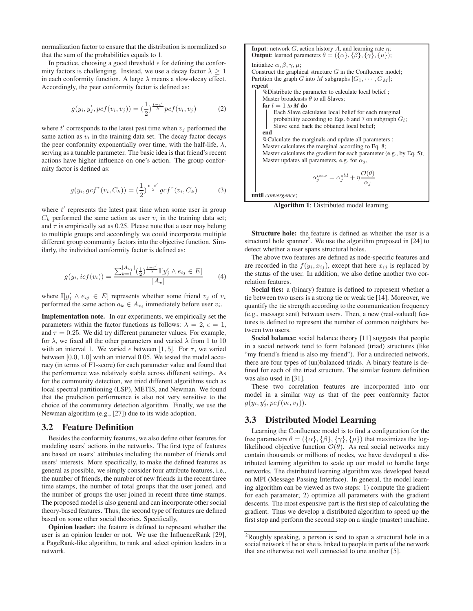normalization factor to ensure that the distribution is normalized so that the sum of the probabilities equals to 1.

In practice, choosing a good threshold  $\epsilon$  for defining the conformity factors is challenging. Instead, we use a decay factor  $\lambda > 1$ in each conformity function. A large  $\lambda$  means a slow-decay effect. Accordingly, the peer conformity factor is defined as:

$$
g(y_i, y'_j, pcf(v_i, v_j)) = (\frac{1}{2})^{\frac{t-t'}{\lambda}} pcf(v_i, v_j)
$$
 (2)

where  $t'$  corresponds to the latest past time when  $v_j$  performed the same action as  $v_i$  in the training data set. The decay factor decays the peer conformity exponentially over time, with the half-life,  $\lambda$ , serving as a tunable parameter. The basic idea is that friend's recent actions have higher influence on one's action. The group conformity factor is defined as:

$$
g(y_i, gcf^{\tau}(v_i, C_k)) = \left(\frac{1}{2}\right)^{\frac{t-t'}{\lambda}} gcf^{\tau}(v_i, C_k)
$$
 (3)

where  $t'$  represents the latest past time when some user in group  $C_k$  performed the same action as user  $v_i$  in the training data set; and  $\tau$  is empirically set as 0.25. Please note that a user may belong to multiple groups and accordingly we could incorporate multiple different group community factors into the objective function. Similarly, the individual conformity factor is defined as:

$$
g(y_i, icf(v_i)) = \frac{\sum_{k=1}^{|A_{v_i}|} (\frac{1}{2})^{\frac{t-t'}{\lambda}} \mathbb{I}[y'_j \land e_{ij} \in E]}{|A_v|}
$$
(4)

where  $\mathbb{I}[y'_j \land e_{ij} \in E]$  represents whether some friend  $v_j$  of  $v_i$ performed the same action  $a_k \in A_{v_i}$  immediately before user  $v_i$ .

Implementation note. In our experiments, we empirically set the parameters within the factor functions as follows:  $\lambda = 2, \epsilon = 1$ , and  $\tau = 0.25$ . We did try different parameter values. For example, for  $\lambda$ , we fixed all the other parameters and varied  $\lambda$  from 1 to 10 with an interval 1. We varied  $\epsilon$  between [1, 5]. For  $\tau$ , we varied between [0.0, 1.0] with an interval 0.05. We tested the model accuracy (in terms of F1-score) for each parameter value and found that the performance was relatively stable across different settings. As for the community detection, we tried different algorithms such as local spectral partitioning (LSP), METIS, and Newman. We found that the prediction performance is also not very sensitive to the choice of the community detection algorithm. Finally, we use the Newman algorithm (e.g., [27]) due to its wide adoption.

## 3.2 Feature Definition

Besides the conformity features, we also define other features for modeling users' actions in the networks. The first type of features are based on users' attributes including the number of friends and users' interests. More specifically, to make the defined features as general as possible, we simply consider four attribute features, i.e., the number of friends, the number of new friends in the recent three time stamps, the number of total groups that the user joined, and the number of groups the user joined in recent three time stamps. The proposed model is also general and can incorporate other social theory-based features. Thus, the second type of features are defined based on some other social theories. Specifically,

Opinion leader: the feature is defined to represent whether the user is an opinion leader or not. We use the InfluenceRank [29], a PageRank-like algorithm, to rank and select opinion leaders in a network.

**Input**: network  $G$ , action history  $A$ , and learning rate  $\eta$ ; **Output:** learned parameters  $\theta = (\{\alpha\}, \{\beta\}, \{\gamma\}, \{\mu\})$ ; Initialize  $\alpha$ ,  $\beta$ ,  $\gamma$ ,  $\mu$ ; Construct the graphical structure  $G$  in the Confluence model; Partition the graph G into M subgraphs  $[G_1, \cdots, G_M]$ ; repeat %Distribute the parameter to calculate local belief ; Master broadcasts  $\theta$  to all Slaves; for  $l = 1$  to  $M$  do Each Slave calculates local belief for each marginal probability according to Eqs. 6 and 7 on subgraph  $G_l$ ; Slave send back the obtained local belief; end %Calculate the marginals and update all parameters ; Master calculates the marginal according to Eq. 8; Master calculates the gradient for each parameter (e.g., by Eq. 5); Master updates all parameters, e.g. for  $\alpha_i$ ,  $\alpha_j^{new} = \alpha_j^{old} + \eta \frac{\mathcal{O}(\theta)}{\gamma}$  $\alpha_j$ 

until *convergence*;

Algorithm 1: Distributed model learning.

Structure hole: the feature is defined as whether the user is a structural hole spanner<sup>2</sup>. We use the algorithm proposed in  $[24]$  to detect whether a user spans structural holes.

The above two features are defined as node-specific features and are recorded in the  $f(y_i, x_{ij})$ , except that here  $x_{ij}$  is replaced by the status of the user. In addition, we also define another two correlation features.

Social ties: a (binary) feature is defined to represent whether a tie between two users is a strong tie or weak tie [14]. Moreover, we quantify the tie strength according to the communication frequency (e.g., message sent) between users. Then, a new (real-valued) features is defined to represent the number of common neighbors between two users.

Social balance: social balance theory [11] suggests that people in a social network tend to form balanced (triad) structures (like "my friend's friend is also my friend"). For a undirected network, there are four types of (un)balanced triads. A binary feature is defined for each of the triad structure. The similar feature definition was also used in [31].

These two correlation features are incorporated into our model in a similar way as that of the peer conformity factor  $g(y_i, y'_j, pcf(v_i, v_j)).$ 

# 3.3 Distributed Model Learning

Learning the Confluence model is to find a configuration for the free parameters  $\theta = (\{\alpha\}, \{\beta\}, \{\gamma\}, \{\mu\})$  that maximizes the loglikelihood objective function  $\mathcal{O}(\theta)$ . As real social networks may contain thousands or millions of nodes, we have developed a distributed learning algorithm to scale up our model to handle large networks. The distributed learning algorithm was developed based on MPI (Message Passing Interface). In general, the model learning algorithm can be viewed as two steps: 1) compute the gradient for each parameter; 2) optimize all parameters with the gradient descents. The most expensive part is the first step of calculating the gradient. Thus we develop a distributed algorithm to speed up the first step and perform the second step on a single (master) machine.

<sup>2</sup>Roughly speaking, a person is said to span a structural hole in a social network if he or she is linked to people in parts of the network that are otherwise not well connected to one another [5].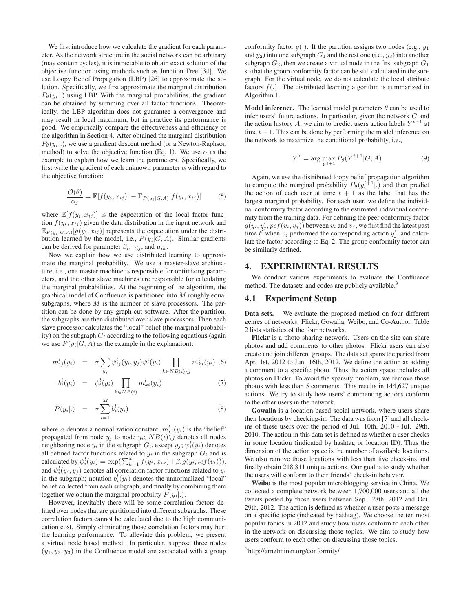We first introduce how we calculate the gradient for each parameter. As the network structure in the social network can be arbitrary (may contain cycles), it is intractable to obtain exact solution of the objective function using methods such as Junction Tree [34]. We use Loopy Belief Propagation (LBP) [26] to approximate the solution. Specifically, we first approximate the marginal distribution  $P_{\theta}(y_i)$ .) using LBP. With the marginal probabilities, the gradient can be obtained by summing over all factor functions. Theoretically, the LBP algorithm does not guarantee a convergence and may result in local maximum, but in practice its performance is good. We empirically compare the effectiveness and efficiency of the algorithm in Section 4. After obtained the marginal distribution  $P_{\theta}(y_i|.)$ , we use a gradient descent method (or a Newton-Raphson method) to solve the objective function (Eq. 1). We use  $\alpha$  as the example to explain how we learn the parameters. Specifically, we first write the gradient of each unknown parameter  $\alpha$  with regard to the objective function:

$$
\frac{\mathcal{O}(\theta)}{\alpha_j} = \mathbb{E}[f(y_i, x_{ij})] - \mathbb{E}_{P(y_i|G, A)}[f(y_i, x_{ij})]
$$
(5)

where  $\mathbb{E}[f(y_i, x_{ij})]$  is the expectation of the local factor function  $f(y_i, x_{ij})$  given the data distribution in the input network and  $\mathbb{E}_{P(y_i|G,A)}[g(y_i,x_{ij})]$  represents the expectation under the distribution learned by the model, i.e.,  $P(y_i|G, A)$ . Similar gradients can be derived for parameter  $\beta_i$ ,  $\gamma_{ij}$ , and  $\mu_{ik}$ .

Now we explain how we use distributed learning to approximate the marginal probability. We use a master-slave architecture, i.e., one master machine is responsible for optimizing parameters, and the other slave machines are responsible for calculating the marginal probabilities. At the beginning of the algorithm, the graphical model of Confluence is partitioned into M roughly equal subgraphs, where  $M$  is the number of slave processors. The partition can be done by any graph cut software. After the partition, the subgraphs are then distributed over slave processors. Then each slave processor calculates the "local" belief (the marginal probability) on the subgraph  $G_l$  according to the following equations (again we use  $P(y_i|G, A)$  as the example in the explanation):

$$
m_{ij}^l(y_i) = \sigma \sum_{y_i} \psi_{ij}^l(y_i, y_j) \psi_i^l(y_i) \prod_{k \in NB(i) \setminus j} m_{ki}^l(y_i) \tag{6}
$$

$$
b_i^l(y_i) = \psi_i^l(y_i) \prod_{k \in NB(i)} m_{ki}^l(y_i) \tag{7}
$$

$$
P(y_i|.) = \sigma \sum_{l=1}^{M} b_i^l(y_i)
$$
\n(8)

where  $\sigma$  denotes a normalization constant;  $m_{ij}^{l}(y_i)$  is the "belief" propagated from node  $y_j$  to node  $y_i$ ;  $NB(i)\backslash j$  denotes all nodes neighboring node  $y_i$  in the subgraph  $G_l$ , except  $y_j$ ;  $\psi_i^l(y_i)$  denotes all defined factor functions related to  $y_i$  in the subgraph  $G_l$  and is calculated by  $\psi_i^l(y_i) = \exp(\sum_{k=1}^d f(y_i, x_{ik}) + \beta_i g(y_i, icf(v_i))),$ and  $\psi_i^l(y_i, y_j)$  denotes all correlation factor functions related to  $y_i$ in the subgraph; notation  $b_i^l(y_i)$  denotes the unnormalized "local" belief collected from each subgraph, and finally by combining them together we obtain the marginal probability  $P(y_i|.)$ .

However, inevitably there will be some correlation factors defined over nodes that are partitioned into different subgraphs. These correlation factors cannot be calculated due to the high communication cost. Simply eliminating those correlation factors may hurt the learning performance. To alleviate this problem, we present a virtual node based method. In particular, suppose three nodes  $(y_1, y_2, y_3)$  in the Confluence model are associated with a group

conformity factor  $q(.)$ . If the partition assigns two nodes (e.g.,  $y_1$ ) and  $y_2$ ) into one subgraph  $G_1$  and the rest one (i.e.,  $y_3$ ) into another subgraph  $G_2$ , then we create a virtual node in the first subgraph  $G_1$ so that the group conformity factor can be still calculated in the subgraph. For the virtual node, we do not calculate the local attribute factors  $f(.)$ . The distributed learning algorithm is summarized in Algorithm 1.

**Model inference.** The learned model parameters  $\theta$  can be used to infer users' future actions. In particular, given the network G and the action history A, we aim to predict users action labels  $Y^{t+1}$  at time  $t + 1$ . This can be done by performing the model inference on the network to maximize the conditional probability, i.e.,

$$
Y^* = \arg\max_{Y^{t+1}} P_{\theta}(Y^{t+1}|G, A)
$$
\n(9)

Again, we use the distributed loopy belief propagation algorithm to compute the marginal probability  $P_{\theta}(y_i^{t+1} | \cdot)$  and then predict the action of each user at time  $t + 1$  as the label that has the largest marginal probability. For each user, we define the individual conformity factor according to the estimated individual conformity from the training data. For defining the peer conformity factor  $g(y_i, y_j', pcf(v_i, v_j))$  between  $v_i$  and  $v_j$ , we first find the latest past time  $t'$  when  $v_j$  performed the corresponding action  $y'_j$ , and calculate the factor according to Eq. 2. The group conformity factor can be similarly defined.

### 4. EXPERIMENTAL RESULTS

We conduct various experiments to evaluate the Confluence method. The datasets and codes are publicly available.<sup>3</sup>

#### 4.1 Experiment Setup

Data sets. We evaluate the proposed method on four different genres of networks: Flickr, Gowalla, Weibo, and Co-Author. Table 2 lists statistics of the four networks.

Flickr is a photo sharing network. Users on the site can share photos and add comments to other photos. Flickr users can also create and join different groups. The data set spans the period from Apr. 1st, 2012 to Jun. 16th, 2012. We define the action as adding a comment to a specific photo. Thus the action space includes all photos on Flickr. To avoid the sparsity problem, we remove those photos with less than 5 comments. This results in 144,627 unique actions. We try to study how users' commenting actions conform to the other users in the network.

Gowalla is a location-based social network, where users share their locations by checking-in. The data was from [7] and all checkins of these users over the period of Jul. 10th, 2010 - Jul. 29th, 2010. The action in this data set is defined as whether a user checks in some location (indicated by hashtag or location ID). Thus the dimension of the action space is the number of available locations. We also remove those locations with less than five check-ins and finally obtain 218,811 unique actions. Our goal is to study whether the users will conform to their friends' check-in behavior.

Weibo is the most popular microblogging service in China. We collected a complete network between 1,700,000 users and all the tweets posted by those users between Sep. 28th, 2012 and Oct. 29th, 2012. The action is defined as whether a user posts a message on a specific topic (indicated by hashtag). We choose the ten most popular topics in 2012 and study how users conform to each other in the network on discussing those topics. We aim to study how users conform to each other on discussing those topics.

<sup>3</sup> http://arnetminer.org/conformity/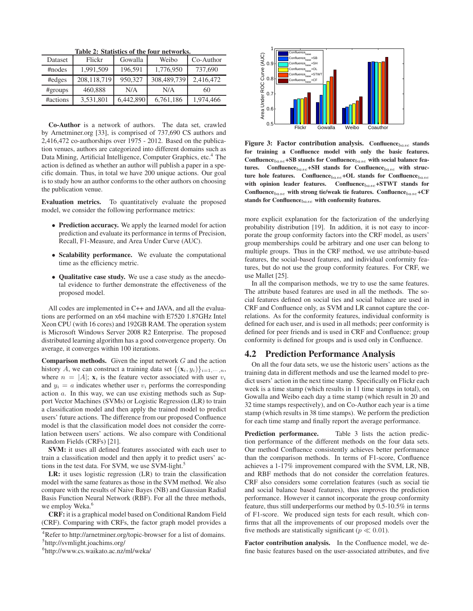|  |  | Table 2: Statistics of the four networks. |
|--|--|-------------------------------------------|
|  |  |                                           |

| Dataset  | Flickr      | Gowalla   | Weibo       | Co-Author |
|----------|-------------|-----------|-------------|-----------|
| #nodes   | 1,991,509   | 196,591   | 1,776,950   | 737,690   |
| #edges   | 208,118,719 | 950.327   | 308,489,739 | 2,416,472 |
| #groups  | 460,888     | N/A       | N/A         | 60        |
| #actions | 3,531,801   | 6,442,890 | 6,761,186   | 1,974,466 |

Co-Author is a network of authors. The data set, crawled by Arnetminer.org [33], is comprised of 737,690 CS authors and 2,416,472 co-authorships over 1975 - 2012. Based on the publication venues, authors are categorized into different domains such as Data Mining, Artificial Intelligence, Computer Graphics, etc.<sup>4</sup> The action is defined as whether an author will publish a paper in a specific domain. Thus, in total we have 200 unique actions. Our goal is to study how an author conforms to the other authors on choosing the publication venue.

Evaluation metrics. To quantitatively evaluate the proposed model, we consider the following performance metrics:

- Prediction accuracy. We apply the learned model for action prediction and evaluate its performance in terms of Precision, Recall, F1-Measure, and Area Under Curve (AUC).
- Scalability performance. We evaluate the computational time as the efficiency metric.
- Qualitative case study. We use a case study as the anecdotal evidence to further demonstrate the effectiveness of the proposed model.

All codes are implemented in C++ and JAVA, and all the evaluations are performed on an x64 machine with E7520 1.87GHz Intel Xeon CPU (with 16 cores) and 192GB RAM. The operation system is Microsoft Windows Server 2008 R2 Enterprise. The proposed distributed learning algorithm has a good convergence property. On average, it converges within 100 iterations.

**Comparison methods.** Given the input network  $G$  and the action history A, we can construct a training data set  $\{(\mathbf{x}_i, y_i)\}_{i=1,\cdots,n}$ , where  $n = |A|$ ;  $\mathbf{x}_i$  is the feature vector associated with user  $v_i$ and  $y_i = a$  indicates whether user  $v_i$  performs the corresponding action a. In this way, we can use existing methods such as Support Vector Machines (SVMs) or Logistic Regression (LR) to train a classification model and then apply the trained model to predict users' future actions. The difference from our proposed Confluence model is that the classification model does not consider the correlation between users' actions. We also compare with Conditional Random Fields (CRFs) [21].

SVM: it uses all defined features associated with each user to train a classification model and then apply it to predict users' actions in the test data. For SVM, we use SVM-light.<sup>5</sup>

LR: it uses logistic regression (LR) to train the classification model with the same features as those in the SVM method. We also compare with the results of Naive Bayes (NB) and Gaussian Radial Basis Function Neural Network (RBF). For all the three methods, we employ Weka.<sup>6</sup>

CRF: it is a graphical model based on Conditional Random Field (CRF). Comparing with CRFs, the factor graph model provides a



Figure 3: Factor contribution analysis. Confluence $_{base}$  stands for training a Confluence model with only the basic features. Confluence $_{base}$ +SB stands for Confluence $_{base}$  with social balance features. Confluence $_{base}$ +SH stands for Confluence $_{base}$  with structure hole features. Confluence $_{base}$ +OL stands for Confluence $_{base}$ with opinion leader features. Confluence $_{base}$ +STWT stands for Confluence $b_{base}$  with strong tie/weak tie features. Confluence $b_{base}$ +CF stands for  $\text{Confluence}_{base}$  with conformity features.

more explicit explanation for the factorization of the underlying probability distribution [19]. In addition, it is not easy to incorporate the group conformity factors into the CRF model, as users' group memberships could be arbitrary and one user can belong to multiple groups. Thus in the CRF method, we use attribute-based features, the social-based features, and individual conformity features, but do not use the group conformity features. For CRF, we use Mallet [25].

In all the comparison methods, we try to use the same features. The attribute based features are used in all the methods. The social features defined on social ties and social balance are used in CRF and Confluence only, as SVM and LR cannot capture the correlations. As for the conformity features, individual conformity is defined for each user, and is used in all methods; peer conformity is defined for peer friends and is used in CRF and Confluence; group conformity is defined for groups and is used only in Confluence.

# 4.2 Prediction Performance Analysis

On all the four data sets, we use the historic users' actions as the training data in different methods and use the learned model to predict users' action in the next time stamp. Specifically on Flickr each week is a time stamp (which results in 11 time stamps in total), on Gowalla and Weibo each day a time stamp (which result in 20 and 32 time stamps respectively), and on Co-Author each year is a time stamp (which results in 38 time stamps). We perform the prediction for each time stamp and finally report the average performance.

Prediction performance. Table 3 lists the action prediction performance of the different methods on the four data sets. Our method Confluence consistently achieves better performance than the comparison methods. In terms of F1-score, Confluence achieves a 1-17% improvement compared with the SVM, LR, NB, and RBF methods that do not consider the correlation features. CRF also considers some correlation features (such as social tie and social balance based features), thus improves the prediction performance. However it cannot incorporate the group conformity feature, thus still underperforms our method by 0.5-10.5% in terms of F1-score. We produced sign tests for each result, which confirms that all the improvements of our proposed models over the five methods are statistically significant ( $p \ll 0.01$ ).

Factor contribution analysis. In the Confluence model, we define basic features based on the user-associated attributes, and five

<sup>&</sup>lt;sup>4</sup>Refer to http://arnetminer.org/topic-browser for a list of domains. 5 http://svmlight.joachims.org/

<sup>6</sup> http://www.cs.waikato.ac.nz/ml/weka/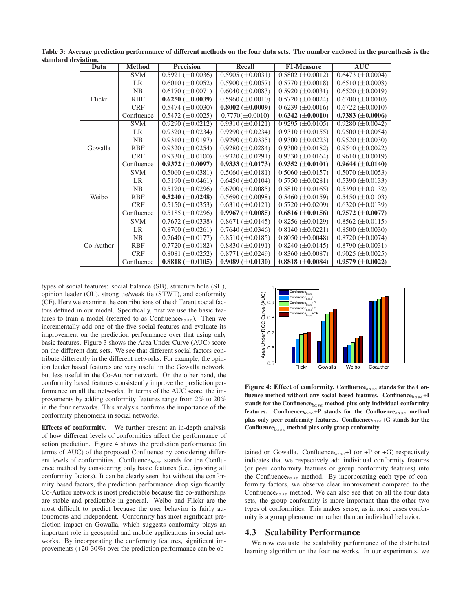| <br>Data  | <b>Method</b> | <b>Precision</b>        | <b>Recall</b>            | <b>F1-Measure</b>       | <b>AUC</b>              |
|-----------|---------------|-------------------------|--------------------------|-------------------------|-------------------------|
|           | <b>SVM</b>    | $0.5921 (\pm 0.0036)$   | $0.5905 (\pm 0.0031)$    | $0.5802 (\pm 0.0012)$   | $0.6473 \ (\pm 0.0004)$ |
|           | <b>LR</b>     | $0.6010 (\pm 0.0052)$   | $0.5900 \ (\pm 0.0057)$  | $0.5770 \ (\pm 0.0018)$ | $0.6510 \ (\pm 0.0008)$ |
|           | NB            | $0.6170 \ (\pm 0.0071)$ | $0.6040 \ (\pm 0.0083)$  | $0.5920 \ (\pm 0.0031)$ | $0.6520 \ (\pm 0.0019)$ |
| Flickr    | <b>RBF</b>    | $0.6250 \ (\pm 0.0039)$ | $0.5960 \ (\pm 0.0010)$  | $0.5720 \ (\pm 0.0024)$ | $0.6700 \ (\pm 0.0010)$ |
|           | <b>CRF</b>    | $0.5474 \ (\pm 0.0030)$ | $0.8002 \ (\pm 0.0009)$  | $0.6239 \ (\pm 0.0016)$ | $0.6722 \ (\pm 0.0010)$ |
|           | Confluence    | $0.5472 \ (\pm 0.0025)$ | $0.7770(\pm 0.0010)$     | $0.6342 \ (\pm 0.0010)$ | $0.7383 \ (\pm 0.0006)$ |
|           | <b>SVM</b>    | $0.9290 \ (\pm 0.0212)$ | $0.9310 \ (\pm 0.0121)$  | $0.9295 \ (\pm 0.0105)$ | $0.9280 \ (\pm 0.0042)$ |
|           | LR            | $0.9320 \ (\pm 0.0234)$ | $0.9290 \ (\pm 0.0234)$  | $0.9310 \ (\pm 0.0155)$ | $0.9500 \ (\pm 0.0054)$ |
| Gowalla   | NB            | $0.9310 \ (\pm 0.0197)$ | $0.9290 \ (\pm 0.0335)$  | $0.9300 \ (\pm 0.0223)$ | $0.9520 \ (\pm 0.0030)$ |
|           | RBF           | $0.9320 \ (\pm 0.0254)$ | $0.9280 \ (\pm 0.0284)$  | $0.9300 \ (\pm 0.0182)$ | $0.9540 \ (\pm 0.0022)$ |
|           | <b>CRF</b>    | $0.9330 \ (\pm 0.0100)$ | $0.9320 \ (\pm 0.0291)$  | $0.9330 \ (\pm 0.0164)$ | $0.9610 \ (\pm 0.0019)$ |
|           | Confluence    | $0.9372 \ (\pm 0.0097)$ | $0.9333 \ (\pm 0.0173)$  | $0.9352 \ (\pm 0.0101)$ | $0.9644 \ (\pm 0.0140)$ |
|           | <b>SVM</b>    | $0.5060 \ (\pm 0.0381)$ | $0.5060 \ (\pm 0.0181)$  | $0.5060 \ (\pm 0.0157)$ | $0.5070 \ (\pm 0.0053)$ |
|           | LR            | $0.5190 \ (\pm 0.0461)$ | $0.6450 \ (\pm 0.0104)$  | $0.5750 \ (\pm 0.0281)$ | $0.5390 \ (\pm 0.0133)$ |
| Weibo     | <b>NB</b>     | $0.5120 \ (\pm 0.0296)$ | $0.6700 \ (\pm 0.0085)$  | $0.5810 \ (\pm 0.0165)$ | $0.5390 \ (\pm 0.0132)$ |
|           | RBF           | $0.5240 \ (\pm 0.0248)$ | $0.5690 \ (\pm 0.0098)$  | $0.5460 \ (\pm 0.0159)$ | $0.5450 \ (\pm 0.0103)$ |
|           | <b>CRF</b>    | $0.5150 \ (\pm 0.0353)$ | $0.6310 \ (\pm 0.0121)$  | $0.5720 \ (\pm 0.0209)$ | $0.6320 \ (\pm 0.0139)$ |
|           | Confluence    | $0.5185 \ (\pm 0.0296)$ | $0.9967 \ (\pm 0.0085)$  | $0.6816 \ (\pm 0.0156)$ | $0.7572 \ (\pm 0.0077)$ |
| Co-Author | <b>SVM</b>    | $0.7672 \ (\pm 0.0338)$ | $0.8671 \ (\pm 0.0145)$  | $0.8256 \ (\pm 0.0129)$ | $0.8562 \ (\pm 0.0115)$ |
|           | LR            | $0.8700 \ (\pm 0.0261)$ | $0.7640 \ (\pm 0.0346)$  | $0.8140 \ (\pm 0.0221)$ | $0.8500 \ (\pm 0.0030)$ |
|           | NB            | $0.7640 \ (\pm 0.0177)$ | $0.8510 \ (\pm 0.0185)$  | $0.8050 \ (\pm 0.0048)$ | $0.8720 \ (\pm 0.0074)$ |
|           | <b>RBF</b>    | $0.7720 \ (\pm 0.0182)$ | $0.8830 \, (\pm 0.0191)$ | $0.8240 \ (\pm 0.0145)$ | $0.8790 \ (\pm 0.0031)$ |
|           | <b>CRF</b>    | $0.8081 \ (\pm 0.0252)$ | $0.8771 (\pm 0.0249)$    | $0.8360 \ (\pm 0.0087)$ | $0.9025 \ (\pm 0.0025)$ |
|           | Confluence    | $0.8818 \ (\pm 0.0105)$ | $0.9089 \ (\pm 0.0130)$  | $0.8818 \ (\pm 0.0084)$ | $0.9579 \ (\pm 0.0022)$ |

Table 3: Average prediction performance of different methods on the four data sets. The number enclosed in the parenthesis is the standard deviation.

types of social features: social balance (SB), structure hole (SH), opinion leader (OL), strong tie/weak tie (STWT), and conformity (CF). Here we examine the contributions of the different social factors defined in our model. Specifically, first we use the basic features to train a model (referred to as  $Confluence_{base}$ ). Then we incrementally add one of the five social features and evaluate its improvement on the prediction performance over that using only basic features. Figure 3 shows the Area Under Curve (AUC) score on the different data sets. We see that different social factors contribute differently in the different networks. For example, the opinion leader based features are very useful in the Gowalla network, but less useful in the Co-Author network. On the other hand, the conformity based features consistently improve the prediction performance on all the networks. In terms of the AUC score, the improvements by adding conformity features range from 2% to 20% in the four networks. This analysis confirms the importance of the conformity phenomena in social networks.

Effects of conformity. We further present an in-depth analysis of how different levels of conformities affect the performance of action prediction. Figure 4 shows the prediction performance (in terms of AUC) of the proposed Confluence by considering different levels of conformities. Confluence $_{base}$  stands for the Confluence method by considering only basic features (i.e., ignoring all conformity factors). It can be clearly seen that without the conformity based factors, the prediction performance drop significantly. Co-Author network is most predictable because the co-authorships are stable and predictable in general. Weibo and Flickr are the most difficult to predict because the user behavior is fairly autonomous and independent. Conformity has most significant prediction impact on Gowalla, which suggests conformity plays an important role in geospatial and mobile applications in social networks. By incorporating the conformity features, significant improvements (+20-30%) over the prediction performance can be ob-



Figure 4: Effect of conformity. Confluence $_{base}$  stands for the Confluence method without any social based features. Confluence $_{base}$ +I stands for the Confluence $_{base}$  method plus only individual conformity features. Confluence $_{base}$ +P stands for the Confluence $_{base}$  method plus only peer conformity features. Confluence $_{base}$ +G stands for the Confluence $_{base}$  method plus only group conformity.

tained on Gowalla. Confluence $_{base}$ +I (or +P or +G) respectively indicates that we respectively add individual conformity features (or peer conformity features or group conformity features) into the Confluence $_{base}$  method. By incorporating each type of conformity factors, we observe clear improvement compared to the Confluence $_{base}$  method. We can also see that on all the four data sets, the group conformity is more important than the other two types of conformities. This makes sense, as in most cases conformity is a group phenomenon rather than an individual behavior.

#### 4.3 Scalability Performance

We now evaluate the scalability performance of the distributed learning algorithm on the four networks. In our experiments, we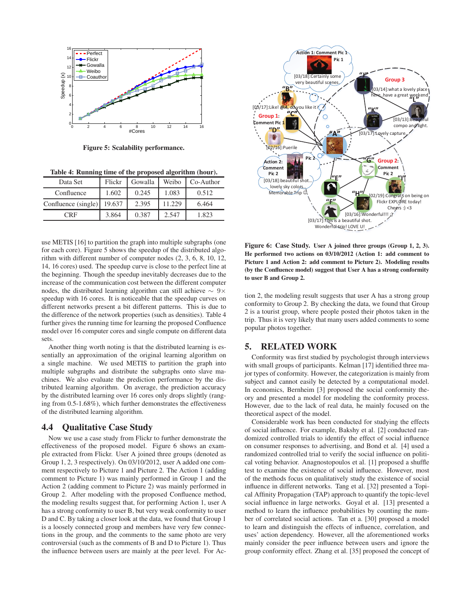

Figure 5: Scalability performance.

Table 4: Running time of the proposed algorithm (hour).

| Data Set            | Flickr | Gowalla | Weibo  | Co-Author |
|---------------------|--------|---------|--------|-----------|
| Confluence          | 1.602  | 0.245   | 1.083  | 0.512     |
| Confluence (single) | 19.637 | 2.395   | 11.229 | 6.464     |
| CRF                 | 3.864  | 0.387   | 2.547  | 1.823     |

use METIS [16] to partition the graph into multiple subgraphs (one for each core). Figure 5 shows the speedup of the distributed algorithm with different number of computer nodes (2, 3, 6, 8, 10, 12, 14, 16 cores) used. The speedup curve is close to the perfect line at the beginning. Though the speedup inevitably decreases due to the increase of the communication cost between the different computer nodes, the distributed learning algorithm can still achieve  $\sim 9 \times$ speedup with 16 cores. It is noticeable that the speedup curves on different networks present a bit different patterns. This is due to the difference of the network properties (such as densities). Table 4 further gives the running time for learning the proposed Confluence model over 16 computer cores and single compute on different data sets.

Another thing worth noting is that the distributed learning is essentially an approximation of the original learning algorithm on a single machine. We used METIS to partition the graph into multiple subgraphs and distribute the subgraphs onto slave machines. We also evaluate the prediction performance by the distributed learning algorithm. On average, the prediction accuracy by the distributed learning over 16 cores only drops slightly (ranging from 0.5-1.68%), which further demonstrates the effectiveness of the distributed learning algorithm.

# 4.4 Qualitative Case Study

Now we use a case study from Flickr to further demonstrate the effectiveness of the proposed model. Figure 6 shows an example extracted from Flickr. User A joined three groups (denoted as Group 1, 2, 3 respectively). On 03/10/2012, user A added one comment respectively to Picture 1 and Picture 2. The Action 1 (adding comment to Picture 1) was mainly performed in Group 1 and the Action 2 (adding comment to Picture 2) was mainly performed in Group 2. After modeling with the proposed Confluence method, the modeling results suggest that, for performing Action 1, user A has a strong conformity to user B, but very weak conformity to user D and C. By taking a closer look at the data, we found that Group 1 is a loosely connected group and members have very few connections in the group, and the comments to the same photo are very controversial (such as the comments of B and D to Picture 1). Thus the influence between users are mainly at the peer level. For Ac-



Figure 6: Case Study. User A joined three groups (Group 1, 2, 3). He performed two actions on 03/10/2012 (Action 1: add comment to Picture 1 and Action 2: add comment to Picture 2). Modeling results (by the Confluence model) suggest that User A has a strong conformity to user B and Group 2.

tion 2, the modeling result suggests that user A has a strong group conformity to Group 2. By checking the data, we found that Group 2 is a tourist group, where people posted their photos taken in the trip. Thus it is very likely that many users added comments to some popular photos together.

## 5. RELATED WORK

Conformity was first studied by psychologist through interviews with small groups of participants. Kelman [17] identified three major types of conformity. However, the categorization is mainly from subject and cannot easily be detected by a computational model. In economics, Bernheim [3] proposed the social conformity theory and presented a model for modeling the conformity process. However, due to the lack of real data, he mainly focused on the theoretical aspect of the model.

Considerable work has been conducted for studying the effects of social influence. For example, Bakshy et al. [2] conducted randomized controlled trials to identify the effect of social influence on consumer responses to advertising, and Bond et al. [4] used a randomized controlled trial to verify the social influence on political voting behavior. Anagnostopoulos et al. [1] proposed a shuffle test to examine the existence of social influence. However, most of the methods focus on qualitatively study the existence of social influence in different networks. Tang et al. [32] presented a Topical Affinity Propagation (TAP) approach to quantify the topic-level social influence in large networks. Goyal et al. [13] presented a method to learn the influence probabilities by counting the number of correlated social actions. Tan et a. [30] proposed a model to learn and distinguish the effects of influence, correlation, and uses' action dependency. However, all the aforementioned works mainly consider the peer influence between users and ignore the group conformity effect. Zhang et al. [35] proposed the concept of